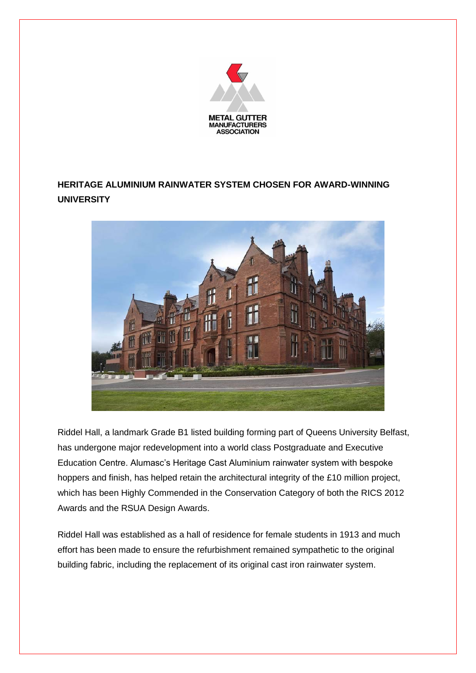

## **HERITAGE ALUMINIUM RAINWATER SYSTEM CHOSEN FOR AWARD-WINNING UNIVERSITY**



Riddel Hall, a landmark Grade B1 listed building forming part of Queens University Belfast, has undergone major redevelopment into a world class Postgraduate and Executive Education Centre. Alumasc's Heritage Cast Aluminium rainwater system with bespoke hoppers and finish, has helped retain the architectural integrity of the £10 million project, which has been Highly Commended in the Conservation Category of both the RICS 2012 Awards and the RSUA Design Awards.

Riddel Hall was established as a hall of residence for female students in 1913 and much effort has been made to ensure the refurbishment remained sympathetic to the original building fabric, including the replacement of its original cast iron rainwater system.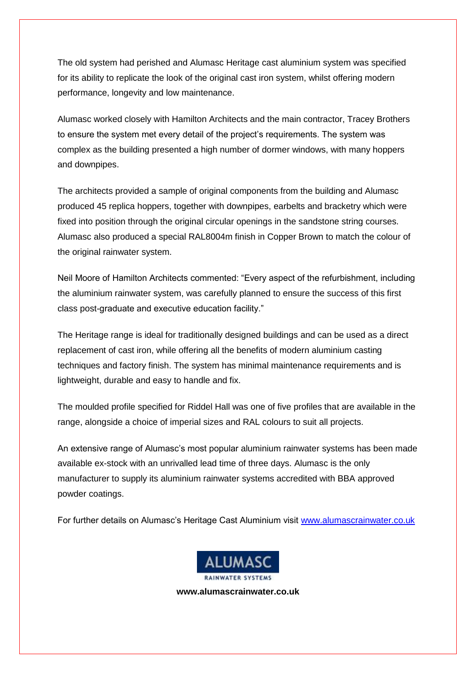The old system had perished and Alumasc Heritage cast aluminium system was specified for its ability to replicate the look of the original cast iron system, whilst offering modern performance, longevity and low maintenance.

Alumasc worked closely with Hamilton Architects and the main contractor, Tracey Brothers to ensure the system met every detail of the project's requirements. The system was complex as the building presented a high number of dormer windows, with many hoppers and downpipes.

The architects provided a sample of original components from the building and Alumasc produced 45 replica hoppers, together with downpipes, earbelts and bracketry which were fixed into position through the original circular openings in the sandstone string courses. Alumasc also produced a special RAL8004m finish in Copper Brown to match the colour of the original rainwater system.

Neil Moore of Hamilton Architects commented: "Every aspect of the refurbishment, including the aluminium rainwater system, was carefully planned to ensure the success of this first class post-graduate and executive education facility."

The Heritage range is ideal for traditionally designed buildings and can be used as a direct replacement of cast iron, while offering all the benefits of modern aluminium casting techniques and factory finish. The system has minimal maintenance requirements and is lightweight, durable and easy to handle and fix.

The moulded profile specified for Riddel Hall was one of five profiles that are available in the range, alongside a choice of imperial sizes and RAL colours to suit all projects.

An extensive range of Alumasc's most popular aluminium rainwater systems has been made available ex-stock with an unrivalled lead time of three days. Alumasc is the only manufacturer to supply its aluminium rainwater systems accredited with BBA approved powder coatings.

For further details on Alumasc's Heritage Cast Aluminium visit [www.alumascrainwater.co.uk](http://www.alumascwaterproofing.co.uk/)



**www.alumascrainwater.co.uk**